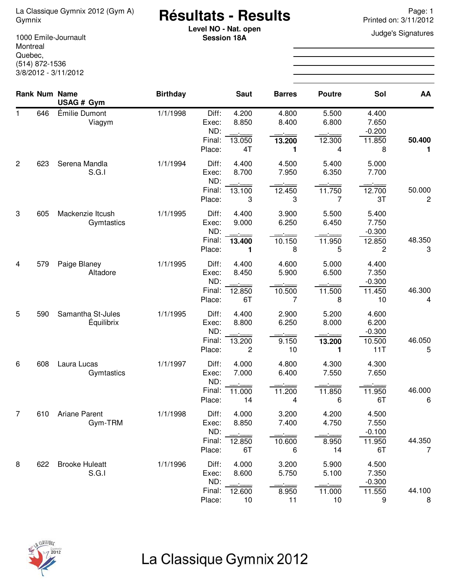# **Résultats - Results** La Classique Gymnix 2012 (Gym A) Page: 1 Gymnix Printed on: 3/11/2012

**Level NO - Nat. open** Judge's Signatures **Session 18A**

1000 Emile-Journault Montreal Quebec, (514) 872-1536 3/8/2012 - 3/11/2012

|             |     | <b>Rank Num Name</b><br>USAG # Gym     | <b>Birthday</b> |                                           | <b>Saut</b>                    | <b>Barres</b>                 | <b>Poutre</b>                               | Sol                                         | AA          |
|-------------|-----|----------------------------------------|-----------------|-------------------------------------------|--------------------------------|-------------------------------|---------------------------------------------|---------------------------------------------|-------------|
| $\mathbf 1$ | 646 | Émilie Dumont<br>Viagym                | 1/1/1998        | Diff:<br>Exec:<br>ND:<br>Final:<br>Place: | 4.200<br>8.850<br>13.050<br>4T | 4.800<br>8.400<br>13.200<br>1 | 5.500<br>6.800<br>12.300<br>4               | 4.400<br>7.650<br>$-0.200$<br>11.850<br>8   | 50.400<br>1 |
| 2           | 623 | Serena Mandla<br>S.G.I                 | 1/1/1994        | Diff:<br>Exec:<br>ND:<br>Final:<br>Place: | 4.400<br>8.700<br>13.100<br>3  | 4.500<br>7.950<br>12.450<br>3 | 5.400<br>6.350<br>11.750<br>7               | 5.000<br>7.700<br>12.700<br>3T              | 50.000<br>2 |
| 3           | 605 | Mackenzie Itcush<br>Gymtastics         | 1/1/1995        | Diff:<br>Exec:<br>ND:<br>Final:<br>Place: | 4.400<br>9.000<br>13.400<br>1  | 3.900<br>6.250<br>10.150<br>8 | 5.500<br>6.450<br>11.950<br>5               | 5.400<br>7.750<br>$-0.300$<br>12.850<br>2   | 48.350<br>3 |
| 4           | 579 | Paige Blaney<br>Altadore               | 1/1/1995        | Diff:<br>Exec:<br>ND:<br>Final:<br>Place: | 4.400<br>8.450<br>12.850<br>6T | 4.600<br>5.900<br>10.500<br>7 | 5.000<br>6.500<br>11.500<br>8               | 4.400<br>7.350<br>$-0.300$<br>11.450<br>10  | 46.300<br>4 |
| 5           | 590 | Samantha St-Jules<br><b>Équilibrix</b> | 1/1/1995        | Diff:<br>Exec:<br>ND:<br>Final:<br>Place: | 4.400<br>8.800<br>13.200<br>2  | 2.900<br>6.250<br>9.150<br>10 | 5.200<br>8.000<br>13.200<br>1               | 4.600<br>6.200<br>$-0.300$<br>10.500<br>11T | 46.050<br>5 |
| 6           | 608 | Laura Lucas<br>Gymtastics              | 1/1/1997        | Diff:<br>Exec:<br>ND:<br>Final:<br>Place: | 4.000<br>7.000<br>11.000<br>14 | 4.800<br>6.400<br>11.200<br>4 | 4.300<br>7.550<br>11.850<br>6               | 4.300<br>7.650<br>11.950<br>6T              | 46.000<br>6 |
| 7           |     | 610 Ariane Parent<br>Gym-TRM           | 1/1/1998        | Diff:<br>Exec:<br>ND:<br>Final:<br>Place: | 4.000<br>8.850<br>12.850<br>6T | 3.200<br>7.400<br>10.600<br>6 | 4.200<br>4.750<br>8.950<br>14               | 4.500<br>7.550<br>$-0.100$<br>11.950<br>6T  | 44.350<br>7 |
| 8           | 622 | <b>Brooke Huleatt</b><br>S.G.I         | 1/1/1996        | Diff:<br>Exec:<br>ND:<br>Final:<br>Place: | 4.000<br>8.600<br>12.600<br>10 | 3.200<br>5.750<br>8.950<br>11 | 5.900<br>5.100<br>$\dot{=}$<br>11.000<br>10 | 4.500<br>7.350<br>$-0.300$<br>11.550<br>9   | 44.100<br>8 |



## La Classique Gymnix 2012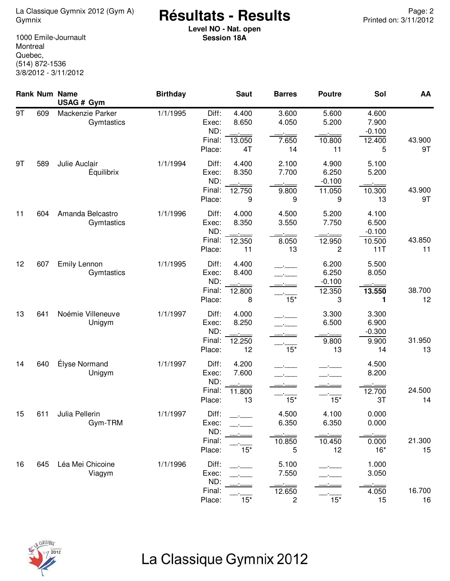### **Résultats - Results** La Classique Gymnix 2012 (Gym A) Page: 2 Gymnix Printed on: 3/11/2012

**Level NO - Nat. open Session 18A**

1000 Emile-Journault **Montreal** Quebec, (514) 872-1536 3/8/2012 - 3/11/2012

|    |     | Rank Num Name<br>USAG # Gym        | <b>Birthday</b> |                                           | <b>Saut</b>                    | <b>Barres</b>                                       | <b>Poutre</b>                             | Sol                                         | AA           |
|----|-----|------------------------------------|-----------------|-------------------------------------------|--------------------------------|-----------------------------------------------------|-------------------------------------------|---------------------------------------------|--------------|
| 9T | 609 | Mackenzie Parker<br>Gymtastics     | 1/1/1995        | Diff:<br>Exec:<br>ND:<br>Final:<br>Place: | 4.400<br>8.650<br>13.050<br>4T | 3.600<br>4.050<br>7.650<br>14                       | 5.600<br>5.200<br>10.800<br>11            | 4.600<br>7.900<br>$-0.100$<br>12.400<br>5   | 43.900<br>9T |
| 9T | 589 | Julie Auclair<br><b>Équilibrix</b> | 1/1/1994        | Diff:<br>Exec:<br>ND:<br>Final:<br>Place: | 4.400<br>8.350<br>12.750<br>9  | 2.100<br>7.700<br>9.800<br>9                        | 4.900<br>6.250<br>$-0.100$<br>11.050<br>9 | 5.100<br>5.200<br>10.300<br>13              | 43.900<br>9T |
| 11 | 604 | Amanda Belcastro<br>Gymtastics     | 1/1/1996        | Diff:<br>Exec:<br>ND:<br>Final:<br>Place: | 4.000<br>8.350<br>12.350<br>11 | 4.500<br>3.550<br>8.050<br>13                       | 5.200<br>7.750<br>12.950<br>2             | 4.100<br>6.500<br>$-0.100$<br>10.500<br>11T | 43.850<br>11 |
| 12 | 607 | Emily Lennon<br>Gymtastics         | 1/1/1995        | Diff:<br>Exec:<br>ND:<br>Final:<br>Place: | 4.400<br>8.400<br>12.800<br>8  | $15*$                                               | 6.200<br>6.250<br>$-0.100$<br>12.350<br>3 | 5.500<br>8.050<br>13.550<br>1               | 38.700<br>12 |
| 13 | 641 | Noémie Villeneuve<br>Unigym        | 1/1/1997        | Diff:<br>Exec:<br>ND:<br>Final:<br>Place: | 4.000<br>8.250<br>12.250<br>12 | $15*$                                               | 3.300<br>6.500<br>9.800<br>13             | 3.300<br>6.900<br>$-0.300$<br>9.900<br>14   | 31.950<br>13 |
| 14 | 640 | Élyse Normand<br>Unigym            | 1/1/1997        | Diff:<br>Exec:<br>ND:<br>Final:<br>Place: | 4.200<br>7.600<br>11.800<br>13 | $15*$                                               | $15*$                                     | 4.500<br>8.200<br>12.700<br>3T              | 24.500<br>14 |
| 15 | 611 | Julia Pellerin<br>Gym-TRM          | 1/1/1997        | Diff:<br>Exec:<br>ND:<br>Final:<br>Place: | $15*$                          | 4.500<br>6.350<br>10.850<br>5                       | 4.100<br>6.350<br>10.450<br>12            | 0.000<br>0.000<br>0.000<br>$16*$            | 21.300<br>15 |
| 16 | 645 | Léa Mei Chicoine<br>Viagym         | 1/1/1996        | Diff:<br>Exec:<br>ND:<br>Final:<br>Place: | $15*$                          | 5.100<br>7.550<br>12.650<br>$\overline{\mathbf{c}}$ | $15*$                                     | 1.000<br>3.050<br>4.050<br>15               | 16.700<br>16 |



# La Classique Gymnix 2012